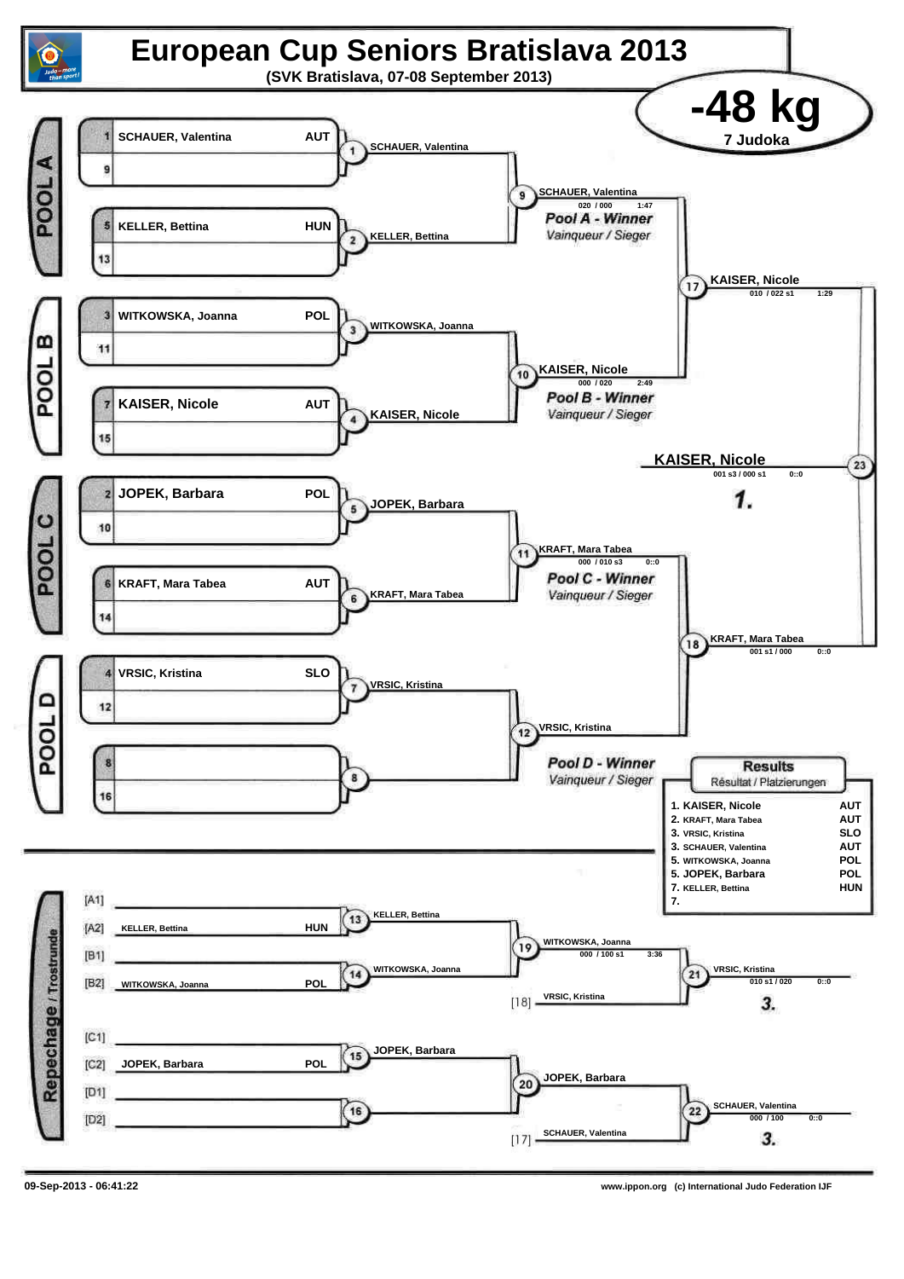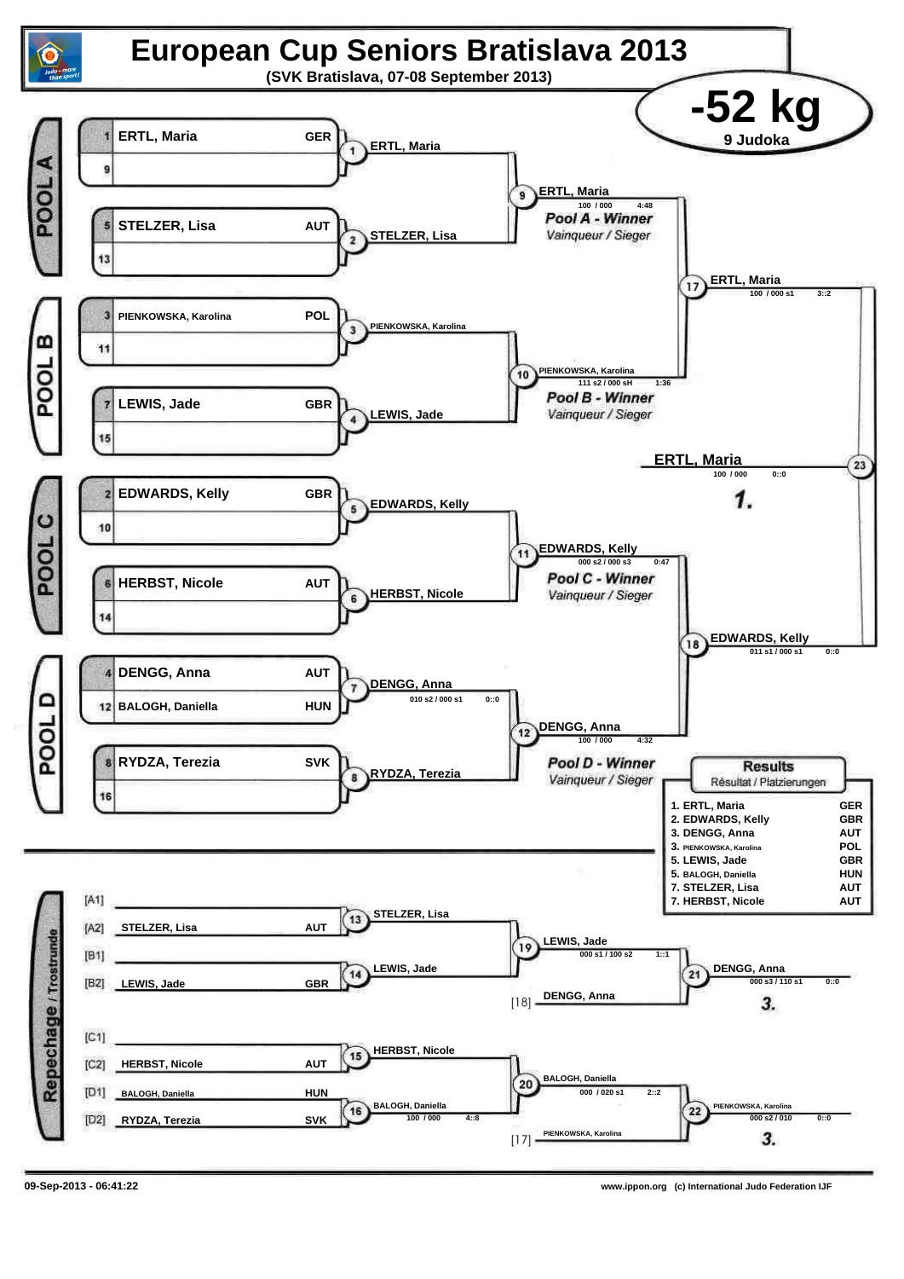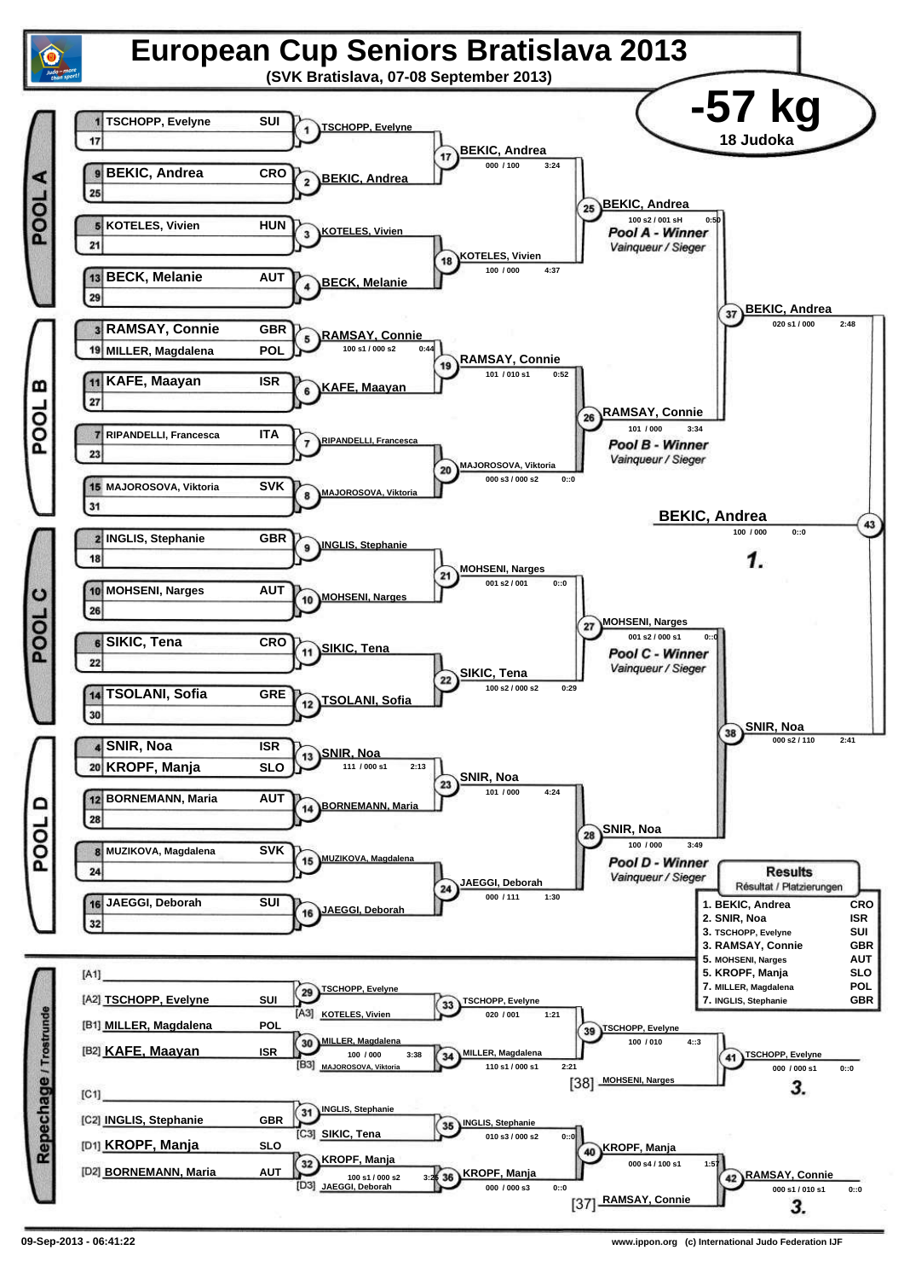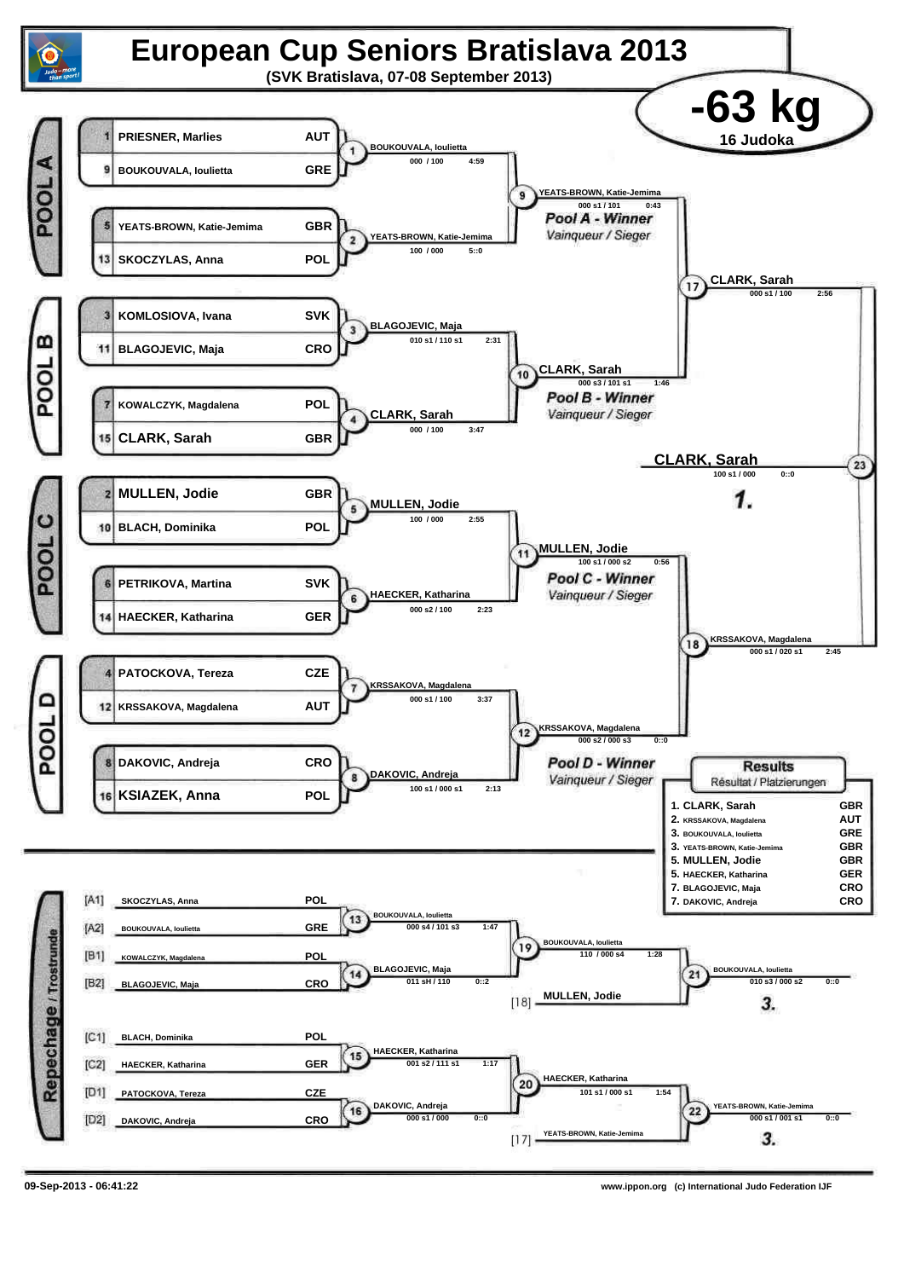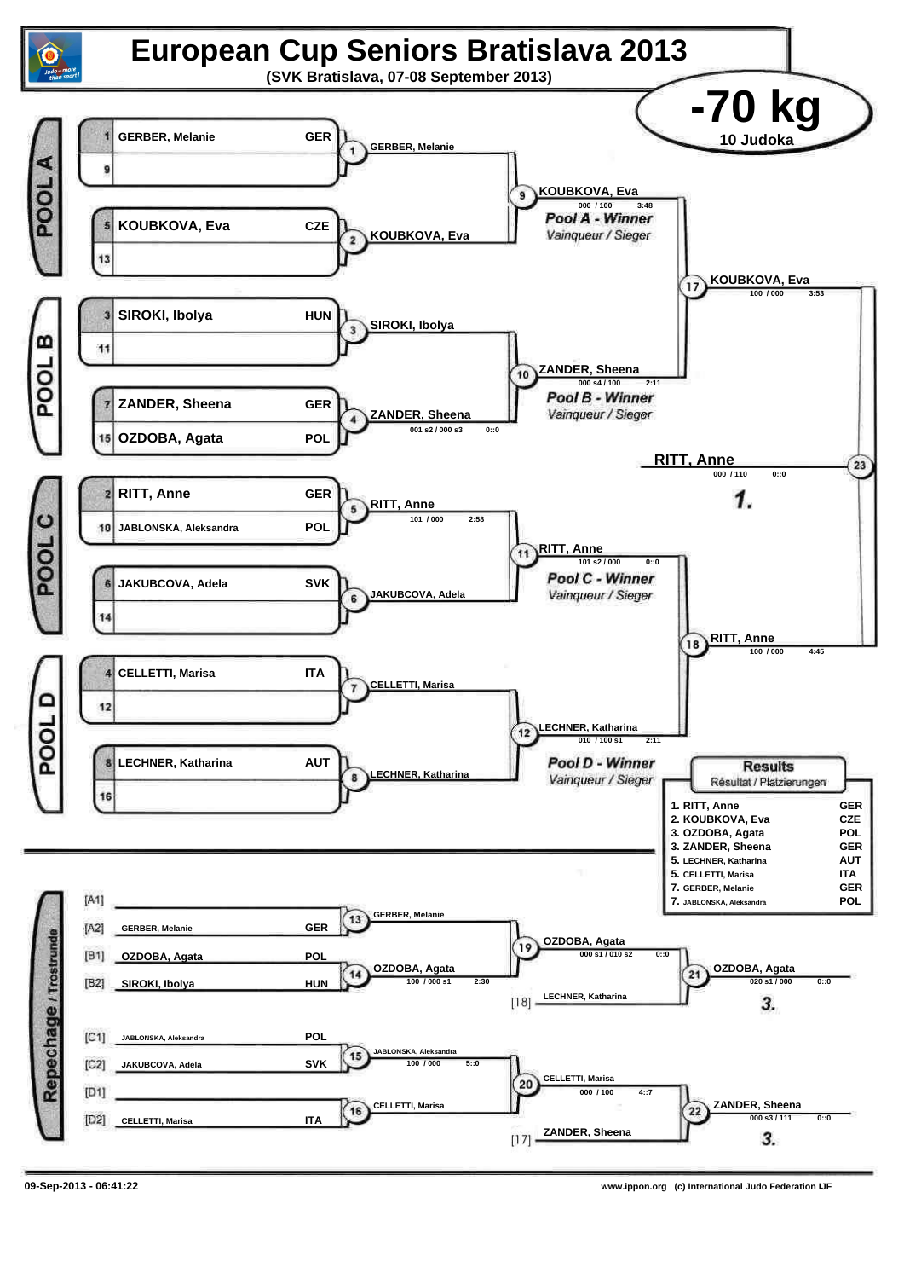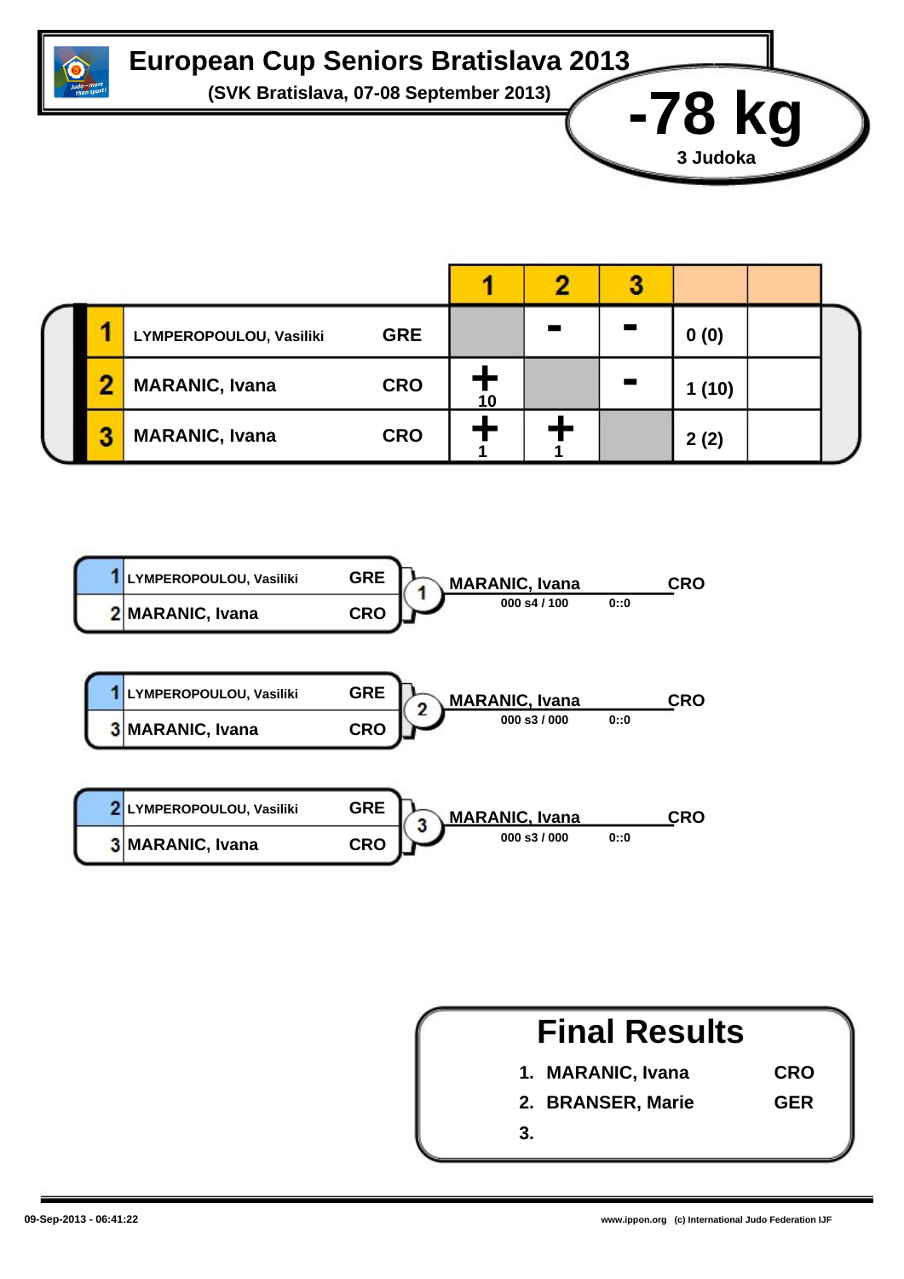

## **European Cup Seniors Bratislava 2013**

**(SVK Bratislava, 07-08 September 2013) -78 kg**

|  | LYMPEROPOULOU, Vasiliki | <b>GRE</b> |    | <b>The State</b> | 0(0)   |  |
|--|-------------------------|------------|----|------------------|--------|--|
|  | <b>MARANIC, Ivana</b>   | <b>CRO</b> | 10 |                  | 1 (10) |  |
|  | <b>MARANIC, Ivana</b>   | <b>CRO</b> |    |                  | 2(2)   |  |





**3 Judoka**